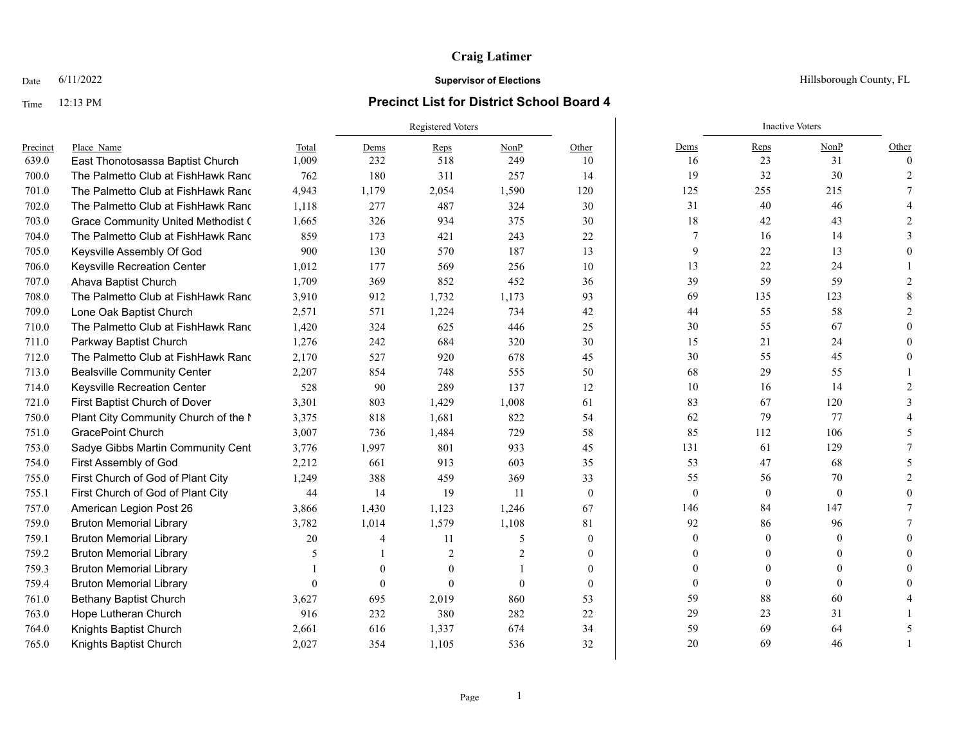## Time 12:13 PM **Precinct List for District School Board 4**

|          |                                           |          | Registered Voters |                |                |                |                | <b>Inactive Voters</b> |          |          |
|----------|-------------------------------------------|----------|-------------------|----------------|----------------|----------------|----------------|------------------------|----------|----------|
| Precinct | Place Name                                | Total    | Dems              | Reps           | NonP           | Other          | Dems           | Reps                   | NonP     | Other    |
| 639.0    | East Thonotosassa Baptist Church          | 1,009    | 232               | 518            | 249            | 10             | 16             | 23                     | 31       | $\Omega$ |
| 700.0    | The Palmetto Club at FishHawk Rand        | 762      | 180               | 311            | 257            | 14             | 19             | 32                     | 30       |          |
| 701.0    | The Palmetto Club at FishHawk Rand        | 4,943    | 1,179             | 2,054          | 1,590          | 120            | 125            | 255                    | 215      |          |
| 702.0    | The Palmetto Club at FishHawk Rand        | 1,118    | 277               | 487            | 324            | 30             | 31             | 40                     | 46       |          |
| 703.0    | <b>Grace Community United Methodist (</b> | 1,665    | 326               | 934            | 375            | 30             | 18             | 42                     | 43       |          |
| 704.0    | The Palmetto Club at FishHawk Rand        | 859      | 173               | 421            | 243            | 22             | 7              | 16                     | 14       |          |
| 705.0    | Keysville Assembly Of God                 | 900      | 130               | 570            | 187            | 13             | 9              | 22                     | 13       |          |
| 706.0    | Keysville Recreation Center               | 1,012    | 177               | 569            | 256            | 10             | 13             | $22\,$                 | 24       |          |
| 707.0    | Ahava Baptist Church                      | 1,709    | 369               | 852            | 452            | 36             | 39             | 59                     | 59       |          |
| 708.0    | The Palmetto Club at FishHawk Rand        | 3,910    | 912               | 1,732          | 1,173          | 93             | 69             | 135                    | 123      |          |
| 709.0    | Lone Oak Baptist Church                   | 2,571    | 571               | 1,224          | 734            | 42             | 44             | 55                     | 58       |          |
| 710.0    | The Palmetto Club at FishHawk Rand        | 1,420    | 324               | 625            | 446            | 25             | 30             | 55                     | 67       |          |
| 711.0    | Parkway Baptist Church                    | 1,276    | 242               | 684            | 320            | 30             | 15             | 21                     | 24       |          |
| 712.0    | The Palmetto Club at FishHawk Rand        | 2,170    | 527               | 920            | 678            | 45             | 30             | 55                     | 45       |          |
| 713.0    | <b>Bealsville Community Center</b>        | 2,207    | 854               | 748            | 555            | 50             | 68             | 29                     | 55       |          |
| 714.0    | Keysville Recreation Center               | 528      | 90                | 289            | 137            | 12             | 10             | 16                     | 14       |          |
| 721.0    | First Baptist Church of Dover             | 3,301    | 803               | 1,429          | 1,008          | 61             | 83             | 67                     | 120      |          |
| 750.0    | Plant City Community Church of the I      | 3,375    | 818               | 1,681          | 822            | 54             | 62             | 79                     | 77       |          |
| 751.0    | <b>GracePoint Church</b>                  | 3,007    | 736               | 1,484          | 729            | 58             | 85             | 112                    | 106      |          |
| 753.0    | Sadye Gibbs Martin Community Cent         | 3,776    | 1,997             | 801            | 933            | 45             | 131            | 61                     | 129      |          |
| 754.0    | First Assembly of God                     | 2,212    | 661               | 913            | 603            | 35             | 53             | 47                     | 68       |          |
| 755.0    | First Church of God of Plant City         | 1,249    | 388               | 459            | 369            | 33             | 55             | 56                     | $70\,$   |          |
| 755.1    | First Church of God of Plant City         | 44       | 14                | 19             | 11             | $\theta$       | $\mathbf{0}$   | $\mathbf{0}$           | $\theta$ |          |
| 757.0    | American Legion Post 26                   | 3,866    | 1,430             | 1,123          | 1,246          | 67             | 146            | 84                     | 147      |          |
| 759.0    | <b>Bruton Memorial Library</b>            | 3,782    | 1,014             | 1,579          | 1,108          | 81             | 92             | 86                     | 96       |          |
| 759.1    | <b>Bruton Memorial Library</b>            | 20       | 4                 | 11             | 5              | $\mathbf{0}$   | $\overline{0}$ | $\mathbf{0}$           | $\Omega$ |          |
| 759.2    | <b>Bruton Memorial Library</b>            | 5        |                   | $\overline{2}$ | $\overline{2}$ | $\mathbf{0}$   | $\overline{0}$ | $\theta$               | $\theta$ |          |
| 759.3    | <b>Bruton Memorial Library</b>            |          | $\theta$          | $\theta$       |                | $\overline{0}$ | $\theta$       | $\mathbf{0}$           | 0        |          |
| 759.4    | <b>Bruton Memorial Library</b>            | $\theta$ | $\Omega$          | $\Omega$       | $\Omega$       | $\Omega$       | $\mathbf{0}$   | $\theta$               | $\Omega$ |          |
| 761.0    | <b>Bethany Baptist Church</b>             | 3,627    | 695               | 2,019          | 860            | 53             | 59             | 88                     | 60       |          |
| 763.0    | Hope Lutheran Church                      | 916      | 232               | 380            | 282            | 22             | 29             | 23                     | 31       |          |
| 764.0    | Knights Baptist Church                    | 2,661    | 616               | 1,337          | 674            | 34             | 59             | 69                     | 64       |          |
| 765.0    | Knights Baptist Church                    | 2,027    | 354               | 1,105          | 536            | 32             | 20             | 69                     | 46       |          |

Date  $6/11/2022$  Hillsborough County, FL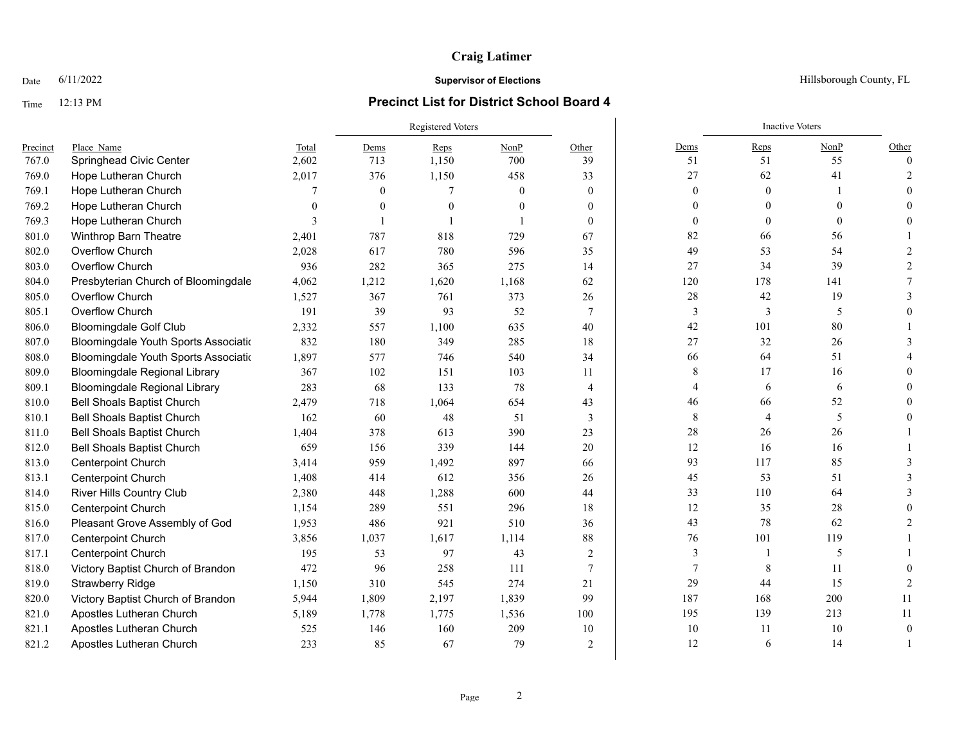## Time 12:13 PM **Precinct List for District School Board 4**

|          |                                      |          |                | <b>Registered Voters</b> |          |                |                | <b>Inactive Voters</b> |          |          |
|----------|--------------------------------------|----------|----------------|--------------------------|----------|----------------|----------------|------------------------|----------|----------|
| Precinct | Place Name                           | Total    | Dems           | Reps                     | NonP     | Other          | Dems           | Reps                   | NonP     | Other    |
| 767.0    | Springhead Civic Center              | 2,602    | 713            | 1,150                    | 700      | 39             | 51             | 51                     | 55       | $\Omega$ |
| 769.0    | Hope Lutheran Church                 | 2,017    | 376            | 1,150                    | 458      | 33             | 27             | 62                     | 41       |          |
| 769.1    | Hope Lutheran Church                 |          | $\mathbf{0}$   |                          | $\theta$ | $\mathbf{0}$   | $\mathbf{0}$   | $\mathbf{0}$           |          |          |
| 769.2    | Hope Lutheran Church                 | $\Omega$ | $\mathbf{0}$   | $\theta$                 | $\theta$ | $\theta$       | $\overline{0}$ | $\Omega$               | $\theta$ |          |
| 769.3    | Hope Lutheran Church                 | 3        | $\blacksquare$ |                          |          | $\Omega$       | $\mathbf{0}$   | $\theta$               | $\theta$ |          |
| 801.0    | Winthrop Barn Theatre                | 2,401    | 787            | 818                      | 729      | 67             | 82             | 66                     | 56       |          |
| 802.0    | Overflow Church                      | 2,028    | 617            | 780                      | 596      | 35             | 49             | 53                     | 54       |          |
| 803.0    | Overflow Church                      | 936      | 282            | 365                      | 275      | 14             | 27             | 34                     | 39       |          |
| 804.0    | Presbyterian Church of Bloomingdale  | 4,062    | 1,212          | 1,620                    | 1,168    | 62             | 120            | 178                    | 141      |          |
| 805.0    | Overflow Church                      | 1,527    | 367            | 761                      | 373      | 26             | 28             | 42                     | 19       |          |
| 805.1    | Overflow Church                      | 191      | 39             | 93                       | 52       | $\tau$         | 3              | 3                      | 5        |          |
| 806.0    | <b>Bloomingdale Golf Club</b>        | 2,332    | 557            | 1,100                    | 635      | 40             | 42             | 101                    | 80       |          |
| 807.0    | Bloomingdale Youth Sports Associatio | 832      | 180            | 349                      | 285      | 18             | 27             | 32                     | 26       |          |
| 808.0    | Bloomingdale Youth Sports Associatio | 1.897    | 577            | 746                      | 540      | 34             | 66             | 64                     | 51       |          |
| 809.0    | <b>Bloomingdale Regional Library</b> | 367      | 102            | 151                      | 103      | 11             | 8              | 17                     | 16       |          |
| 809.1    | <b>Bloomingdale Regional Library</b> | 283      | 68             | 133                      | 78       | $\overline{4}$ | 4              | 6                      | 6        |          |
| 810.0    | <b>Bell Shoals Baptist Church</b>    | 2,479    | 718            | 1,064                    | 654      | 43             | 46             | 66                     | 52       |          |
| 810.1    | <b>Bell Shoals Baptist Church</b>    | 162      | 60             | 48                       | 51       | $\mathfrak{Z}$ | $\,$ 8 $\,$    | $\overline{4}$         | 5        |          |
| 811.0    | <b>Bell Shoals Baptist Church</b>    | 1,404    | 378            | 613                      | 390      | 23             | 28             | 26                     | 26       |          |
| 812.0    | <b>Bell Shoals Baptist Church</b>    | 659      | 156            | 339                      | 144      | 20             | 12             | 16                     | 16       |          |
| 813.0    | Centerpoint Church                   | 3,414    | 959            | 1,492                    | 897      | 66             | 93             | 117                    | 85       |          |
| 813.1    | <b>Centerpoint Church</b>            | 1,408    | 414            | 612                      | 356      | 26             | 45             | 53                     | 51       |          |
| 814.0    | River Hills Country Club             | 2,380    | 448            | 1,288                    | 600      | 44             | 33             | 110                    | 64       |          |
| 815.0    | <b>Centerpoint Church</b>            | 1,154    | 289            | 551                      | 296      | 18             | 12             | 35                     | 28       |          |
| 816.0    | Pleasant Grove Assembly of God       | 1,953    | 486            | 921                      | 510      | 36             | 43             | 78                     | 62       |          |
| 817.0    | <b>Centerpoint Church</b>            | 3,856    | 1,037          | 1,617                    | 1,114    | 88             | 76             | 101                    | 119      |          |
| 817.1    | Centerpoint Church                   | 195      | 53             | 97                       | 43       | 2              | 3              |                        | 5        |          |
| 818.0    | Victory Baptist Church of Brandon    | 472      | 96             | 258                      | 111      | $\tau$         | 7              | 8                      | 11       |          |
| 819.0    | <b>Strawberry Ridge</b>              | 1,150    | 310            | 545                      | 274      | 21             | 29             | 44                     | 15       |          |
| 820.0    | Victory Baptist Church of Brandon    | 5,944    | 1,809          | 2,197                    | 1,839    | 99             | 187            | 168                    | 200      | 11       |
| 821.0    | Apostles Lutheran Church             | 5,189    | 1,778          | 1,775                    | 1,536    | 100            | 195            | 139                    | 213      | 11       |
| 821.1    | Apostles Lutheran Church             | 525      | 146            | 160                      | 209      | 10             | 10             | 11                     | 10       | $\Omega$ |
| 821.2    | Apostles Lutheran Church             | 233      | 85             | 67                       | 79       | $\overline{2}$ | 12             | 6                      | 14       |          |

Date  $6/11/2022$  Hillsborough County, FL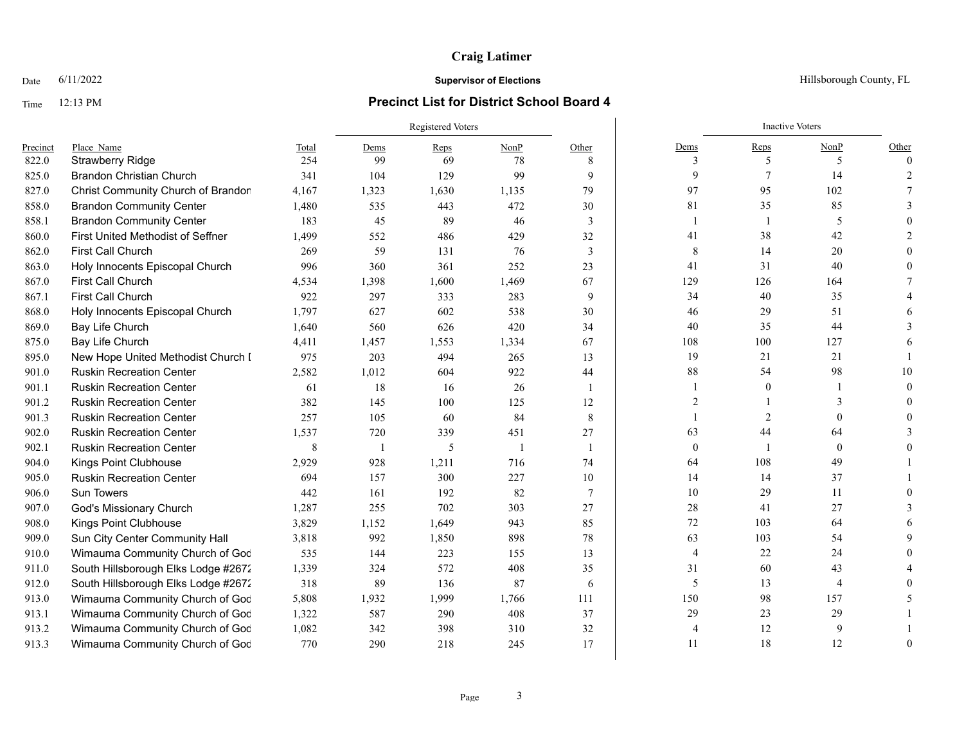### Time 12:13 PM **Precinct List for District School Board 4**

### Registered Voters **Inactive Voters** Inactive Voters **Inactive Voters** Precinct Place\_Name Total Dems Reps NonP Other Dems Reps NonP Other 822.0 Strawberry Ridge 254 99 69 78 8 | 3 5 5 0 825.0 Brandon Christian Church 341 104 129 99 9 9 7 14 2 827.0 Christ Community Church of Brandon 4,167 1,323 1,630 1,135 79 97 97 95 102 7 858.0 Brandon Community Center 1,480 535 443 472 30 81 35 85 3 858.1 Brandon Community Center 183 45 89 46 3 1 1 1 5 0 860.0 First United Methodist of Seffner 1.499 552 486 429 32 41 38 42 2 862.0 First Call Church 269 59 131 76 3 | 8 14 20 0 863.0 Holy Innocents Episcopal Church 996 360 361 252 23 41 31 40 0 867.0 First Call Church 4,534 1,398 1,600 1,469 67 129 126 164 7 867.1 First Call Church 922 297 333 283 9 34 40 35 4 868.0 Holy Innocents Episcopal Church 1,797 627 602 538 30 46 29 51 6 869.0 Bay Life Church 1,640 560 626 420 34 40 35 44 3 875.0 Bay Life Church 4,411 1,457 1,553 1,334 67 108 100 127 6 895.0 New Hope United Methodist Church I and 975 203 494 265 13 19 21 21 21 1 901.0 Ruskin Recreation Center 2.582 1.012 604 922 44 88 54 98 10 901.1 Ruskin Recreation Center 61 18 16 26 1 1 1 0 1 0 901.2 Ruskin Recreation Center 382 145 100 125 12 2 1 3 0 901.3 Ruskin Recreation Center 257 105 60 84 8 1 2 0 0 902.0 Ruskin Recreation Center 1.537 720 339 451 27 63 44 64 3 902.1 Ruskin Recreation Center 8 1 5 1 1 | 0 1 0 0 904.0 Kings Point Clubhouse 2,929 928 1,211 716 74 64 108 49 1 905.0 Ruskin Recreation Center 694 157 300 227 10 14 14 37 1 906.0 Sun Towers 442 161 192 82 7 10 29 11 0 907.0 God's Missionary Church 1,287 255 702 303 27 28 41 27 3 908.0 Kings Point Clubhouse 2008.0 3,829 1,152 1,649 943 85 72 103 64 6 909.0 Sun City Center Community Hall 3,818 992 1,850 898 78 63 103 54 9 910.0 Wimauma Community Church of God 535 144 223 155 13 13 4 22 24 0 911.0 South Hillsborough Elks Lodge #2672 1,339 324 572 408 35 31 60 43 4 912.0 South Hillsborough Elks Lodge #2672 318 89 136 87 6 5 13 4 0 913.0 Wimauma Community Church of God 5,808 1,932 1,999 1,766 111 1 150 98 157 5 913.1 Wimauma Community Church of God 1,322 587 290 408 37 29 29 23 29 1 913.2 Wimauma Community Church of God 1,082 342 398 310 32 4 12 9 1 913.3 Wimauma Community Church of God 770 290 218 245 17 1 11 18 12 0

**Date** 6/11/2022 **Supervisor of Elections Supervisor of Elections** Hillsborough County, FL